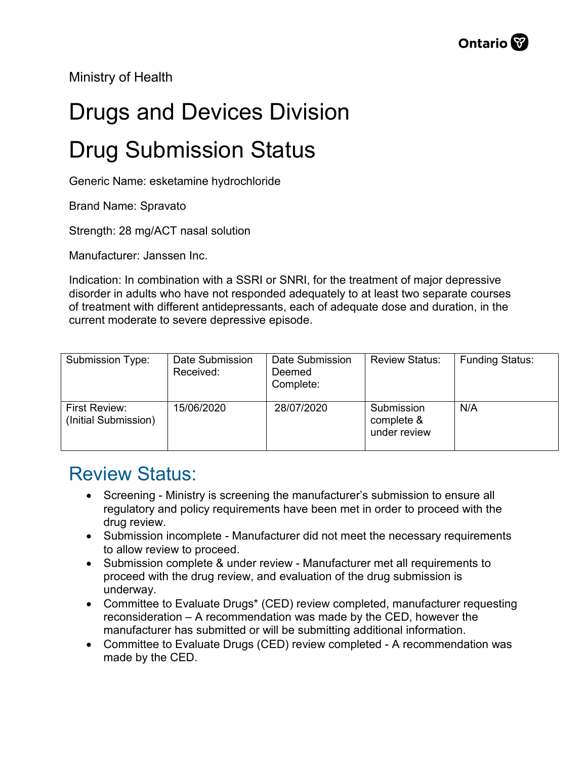Ministry of Health

## Drugs and Devices Division

## Drug Submission Status

Generic Name: esketamine hydrochloride

Brand Name: Spravato

Strength: 28 mg/ACT nasal solution

Manufacturer: Janssen Inc.

Indication: In combination with a SSRI or SNRI, for the treatment of major depressive disorder in adults who have not responded adequately to at least two separate courses of treatment with different antidepressants, each of adequate dose and duration, in the current moderate to severe depressive episode.

| Submission Type:                      | Date Submission<br>Received: | Date Submission<br>Deemed<br>Complete: | <b>Review Status:</b>                    | <b>Funding Status:</b> |
|---------------------------------------|------------------------------|----------------------------------------|------------------------------------------|------------------------|
| First Review:<br>(Initial Submission) | 15/06/2020                   | 28/07/2020                             | Submission<br>complete &<br>under review | N/A                    |

## Review Status:

- Screening Ministry is screening the manufacturer's submission to ensure all regulatory and policy requirements have been met in order to proceed with the drug review.
- Submission incomplete Manufacturer did not meet the necessary requirements to allow review to proceed.
- Submission complete & under review Manufacturer met all requirements to proceed with the drug review, and evaluation of the drug submission is underway.
- Committee to Evaluate Drugs\* (CED) review completed, manufacturer requesting reconsideration – A recommendation was made by the CED, however the manufacturer has submitted or will be submitting additional information.
- Committee to Evaluate Drugs (CED) review completed A recommendation was made by the CED.